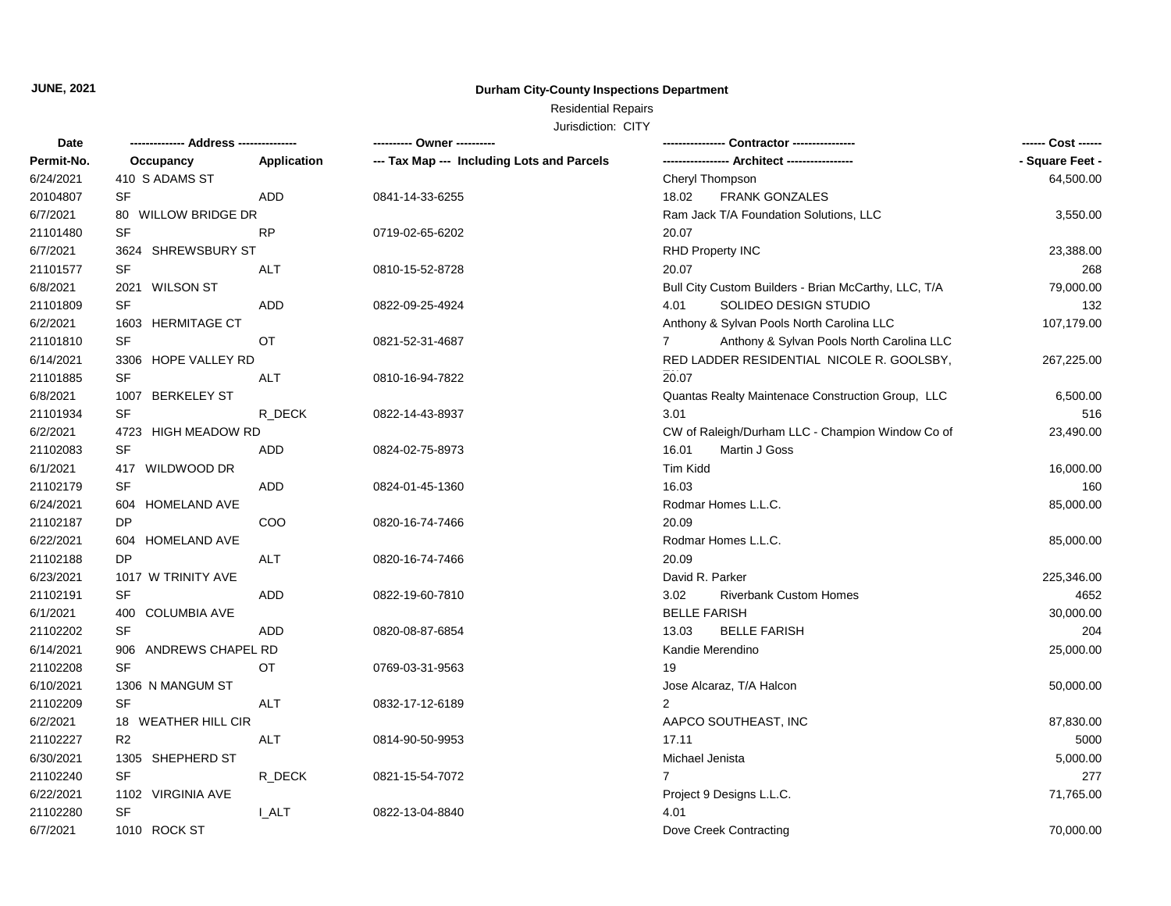#### **Durham City-County Inspections Department**

# Residential Repairs

| Date       |                       |             | ---------- Owner ----------                |                                                             | ------ Cost ------ |
|------------|-----------------------|-------------|--------------------------------------------|-------------------------------------------------------------|--------------------|
| Permit-No. | Occupancy             | Application | --- Tax Map --- Including Lots and Parcels |                                                             | - Square Feet -    |
| 6/24/2021  | 410 S ADAMS ST        |             |                                            | Cheryl Thompson                                             | 64,500.00          |
| 20104807   | SF                    | <b>ADD</b>  | 0841-14-33-6255                            | 18.02<br><b>FRANK GONZALES</b>                              |                    |
| 6/7/2021   | 80 WILLOW BRIDGE DR   |             |                                            | Ram Jack T/A Foundation Solutions, LLC                      | 3,550.00           |
| 21101480   | SF                    | <b>RP</b>   | 0719-02-65-6202                            | 20.07                                                       |                    |
| 6/7/2021   | 3624 SHREWSBURY ST    |             |                                            | RHD Property INC                                            | 23,388.00          |
| 21101577   | SF                    | ALT         | 0810-15-52-8728                            | 20.07                                                       | 268                |
| 6/8/2021   | 2021 WILSON ST        |             |                                            | Bull City Custom Builders - Brian McCarthy, LLC, T/A        | 79,000.00          |
| 21101809   | SF                    | ADD         | 0822-09-25-4924                            | SOLIDEO DESIGN STUDIO<br>4.01                               | 132                |
| 6/2/2021   | 1603 HERMITAGE CT     |             |                                            | Anthony & Sylvan Pools North Carolina LLC                   | 107,179.00         |
| 21101810   | SF                    | OT          | 0821-52-31-4687                            | Anthony & Sylvan Pools North Carolina LLC<br>$\overline{7}$ |                    |
| 6/14/2021  | 3306 HOPE VALLEY RD   |             |                                            | RED LADDER RESIDENTIAL NICOLE R. GOOLSBY,                   | 267,225.00         |
| 21101885   | SF                    | ALT         | 0810-16-94-7822                            | 20.07                                                       |                    |
| 6/8/2021   | 1007 BERKELEY ST      |             |                                            | Quantas Realty Maintenace Construction Group, LLC           | 6,500.00           |
| 21101934   | SF                    | R DECK      | 0822-14-43-8937                            | 3.01                                                        | 516                |
| 6/2/2021   | 4723 HIGH MEADOW RD   |             |                                            | CW of Raleigh/Durham LLC - Champion Window Co of            | 23,490.00          |
| 21102083   | SF                    | ADD         | 0824-02-75-8973                            | 16.01<br>Martin J Goss                                      |                    |
| 6/1/2021   | 417 WILDWOOD DR       |             |                                            | Tim Kidd                                                    | 16,000.00          |
| 21102179   | SF                    | <b>ADD</b>  | 0824-01-45-1360                            | 16.03                                                       | 160                |
| 6/24/2021  | 604 HOMELAND AVE      |             |                                            | Rodmar Homes L.L.C.                                         | 85,000.00          |
| 21102187   | DP                    | COO         | 0820-16-74-7466                            | 20.09                                                       |                    |
| 6/22/2021  | 604 HOMELAND AVE      |             |                                            | Rodmar Homes L.L.C.                                         | 85,000.00          |
| 21102188   | <b>DP</b>             | ALT         | 0820-16-74-7466                            | 20.09                                                       |                    |
| 6/23/2021  | 1017 W TRINITY AVE    |             |                                            | David R. Parker                                             | 225,346.00         |
| 21102191   | SF                    | ADD         | 0822-19-60-7810                            | 3.02<br><b>Riverbank Custom Homes</b>                       | 4652               |
| 6/1/2021   | 400 COLUMBIA AVE      |             |                                            | <b>BELLE FARISH</b>                                         | 30,000.00          |
| 21102202   | <b>SF</b>             | ADD         | 0820-08-87-6854                            | 13.03<br><b>BELLE FARISH</b>                                | 204                |
| 6/14/2021  | 906 ANDREWS CHAPEL RD |             |                                            | Kandie Merendino                                            | 25,000.00          |
| 21102208   | SF                    | OT          | 0769-03-31-9563                            | 19                                                          |                    |
| 6/10/2021  | 1306 N MANGUM ST      |             |                                            | Jose Alcaraz, T/A Halcon                                    | 50,000.00          |
| 21102209   | <b>SF</b>             | <b>ALT</b>  | 0832-17-12-6189                            | $\overline{2}$                                              |                    |
| 6/2/2021   | 18 WEATHER HILL CIR   |             |                                            | AAPCO SOUTHEAST, INC                                        | 87,830.00          |
| 21102227   | R <sub>2</sub>        | ALT         | 0814-90-50-9953                            | 17.11                                                       | 5000               |
| 6/30/2021  | 1305 SHEPHERD ST      |             |                                            | Michael Jenista                                             | 5,000.00           |
| 21102240   | SF                    | R_DECK      | 0821-15-54-7072                            | $7^{\circ}$                                                 | 277                |
| 6/22/2021  | 1102 VIRGINIA AVE     |             |                                            | Project 9 Designs L.L.C.                                    | 71,765.00          |
| 21102280   | SF                    | <b>LALT</b> | 0822-13-04-8840                            | 4.01                                                        |                    |
| 6/7/2021   | 1010 ROCK ST          |             |                                            | Dove Creek Contracting                                      | 70,000.00          |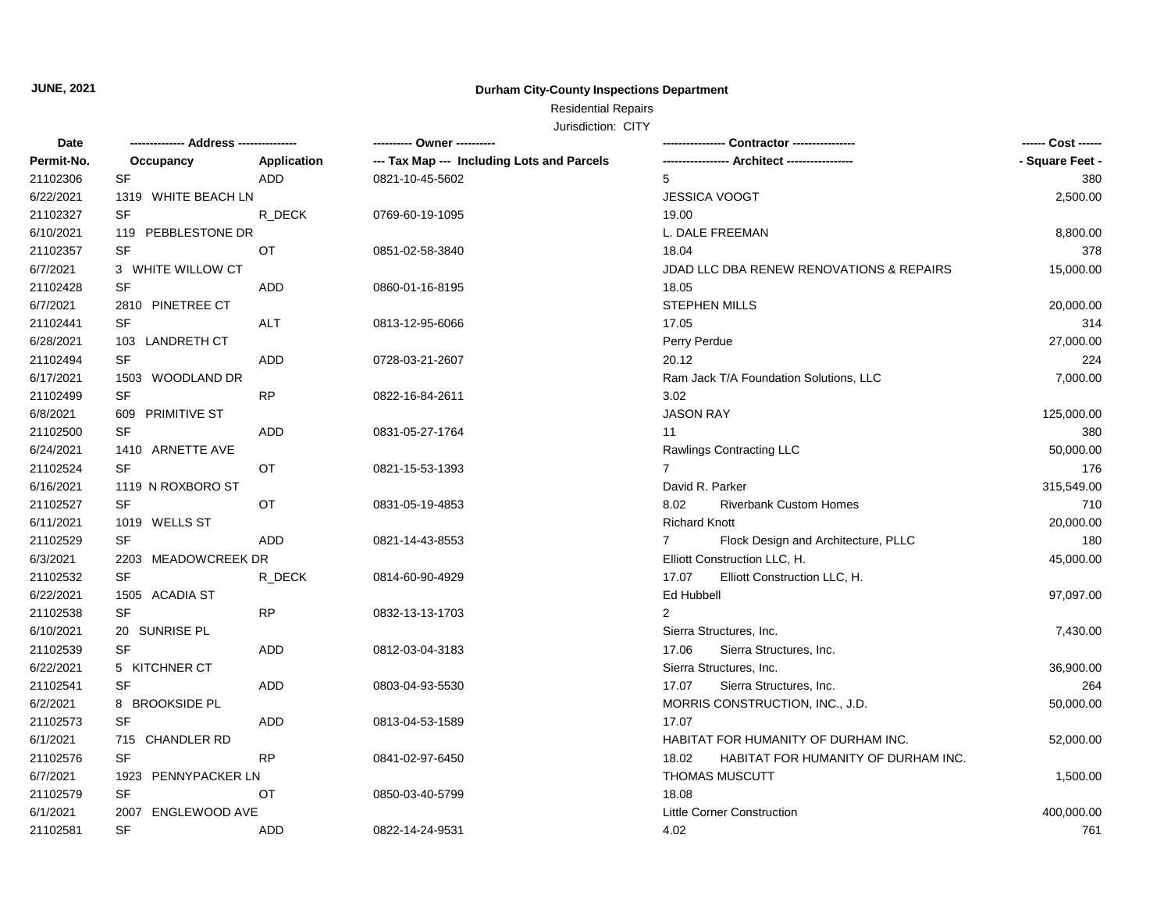#### **Durham City-County Inspections Department**

# Residential Repairs

| Date       |                     |             | ---------- Owner ----------                |                                                     | ------ Cost ------ |
|------------|---------------------|-------------|--------------------------------------------|-----------------------------------------------------|--------------------|
| Permit-No. | Occupancy           | Application | --- Tax Map --- Including Lots and Parcels |                                                     | - Square Feet -    |
| 21102306   | SF                  | ADD         | 0821-10-45-5602                            | 5                                                   | 380                |
| 6/22/2021  | 1319 WHITE BEACH LN |             |                                            | JESSICA VOOGT                                       | 2,500.00           |
| 21102327   | <b>SF</b>           | R DECK      | 0769-60-19-1095                            | 19.00                                               |                    |
| 6/10/2021  | 119 PEBBLESTONE DR  |             |                                            | L. DALE FREEMAN                                     | 8,800.00           |
| 21102357   | <b>SF</b>           | ОT          | 0851-02-58-3840                            | 18.04                                               | 378                |
| 6/7/2021   | 3 WHITE WILLOW CT   |             |                                            | JDAD LLC DBA RENEW RENOVATIONS & REPAIRS            | 15,000.00          |
| 21102428   | SF                  | ADD         | 0860-01-16-8195                            | 18.05                                               |                    |
| 6/7/2021   | 2810 PINETREE CT    |             |                                            | <b>STEPHEN MILLS</b>                                | 20,000.00          |
| 21102441   | <b>SF</b>           | <b>ALT</b>  | 0813-12-95-6066                            | 17.05                                               | 314                |
| 6/28/2021  | 103 LANDRETH CT     |             |                                            | Perry Perdue                                        | 27,000.00          |
| 21102494   | <b>SF</b>           | ADD         | 0728-03-21-2607                            | 20.12                                               | 224                |
| 6/17/2021  | 1503 WOODLAND DR    |             |                                            | Ram Jack T/A Foundation Solutions, LLC              | 7,000.00           |
| 21102499   | SF                  | <b>RP</b>   | 0822-16-84-2611                            | 3.02                                                |                    |
| 6/8/2021   | 609 PRIMITIVE ST    |             |                                            | <b>JASON RAY</b>                                    | 125,000.00         |
| 21102500   | SF                  | ADD         | 0831-05-27-1764                            | 11                                                  | 380                |
| 6/24/2021  | 1410 ARNETTE AVE    |             |                                            | Rawlings Contracting LLC                            | 50,000.00          |
| 21102524   | <b>SF</b>           | OT          | 0821-15-53-1393                            | $\overline{7}$                                      | 176                |
| 6/16/2021  | 1119 N ROXBORO ST   |             |                                            | David R. Parker                                     | 315,549.00         |
| 21102527   | SF                  | OT          | 0831-05-19-4853                            | <b>Riverbank Custom Homes</b><br>8.02               | 710                |
| 6/11/2021  | 1019 WELLS ST       |             |                                            | <b>Richard Knott</b>                                | 20,000.00          |
| 21102529   | <b>SF</b>           | <b>ADD</b>  | 0821-14-43-8553                            | Flock Design and Architecture, PLLC<br>$\mathbf{7}$ | 180                |
| 6/3/2021   | 2203 MEADOWCREEK DR |             |                                            | Elliott Construction LLC, H.                        | 45,000.00          |
| 21102532   | <b>SF</b>           | R DECK      | 0814-60-90-4929                            | 17.07<br>Elliott Construction LLC, H.               |                    |
| 6/22/2021  | 1505 ACADIA ST      |             |                                            | Ed Hubbell                                          | 97,097.00          |
| 21102538   | <b>SF</b>           | <b>RP</b>   | 0832-13-13-1703                            | 2                                                   |                    |
| 6/10/2021  | 20 SUNRISE PL       |             |                                            | Sierra Structures, Inc.                             | 7,430.00           |
| 21102539   | <b>SF</b>           | ADD         | 0812-03-04-3183                            | 17.06<br>Sierra Structures, Inc.                    |                    |
| 6/22/2021  | 5 KITCHNER CT       |             |                                            | Sierra Structures, Inc.                             | 36,900.00          |
| 21102541   | <b>SF</b>           | <b>ADD</b>  | 0803-04-93-5530                            | 17.07<br>Sierra Structures, Inc.                    | 264                |
| 6/2/2021   | 8 BROOKSIDE PL      |             |                                            | MORRIS CONSTRUCTION, INC., J.D.                     | 50,000.00          |
| 21102573   | SF                  | ADD         | 0813-04-53-1589                            | 17.07                                               |                    |
| 6/1/2021   | 715 CHANDLER RD     |             |                                            | HABITAT FOR HUMANITY OF DURHAM INC.                 | 52,000.00          |
| 21102576   | <b>SF</b>           | <b>RP</b>   | 0841-02-97-6450                            | 18.02<br>HABITAT FOR HUMANITY OF DURHAM INC.        |                    |
| 6/7/2021   | 1923 PENNYPACKER LN |             |                                            | <b>THOMAS MUSCUTT</b>                               | 1,500.00           |
| 21102579   | <b>SF</b>           | OT          | 0850-03-40-5799                            | 18.08                                               |                    |
| 6/1/2021   | 2007 ENGLEWOOD AVE  |             |                                            | <b>Little Corner Construction</b>                   | 400,000.00         |
| 21102581   | <b>SF</b>           | ADD         | 0822-14-24-9531                            | 4.02                                                | 761                |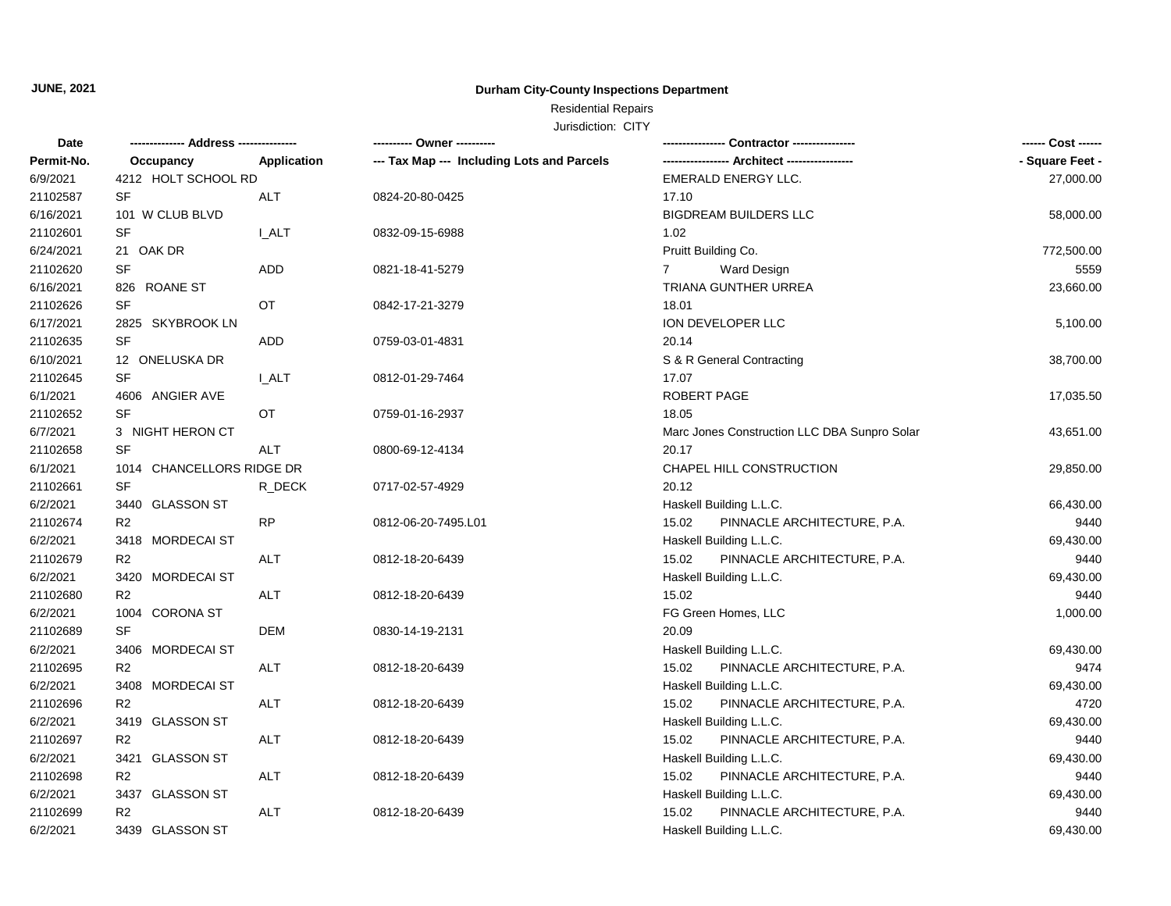#### **Durham City-County Inspections Department**

# Residential Repairs

| Date       |                           |             | ---------- Owner ----------                |                                              | ------ Cost ------ |
|------------|---------------------------|-------------|--------------------------------------------|----------------------------------------------|--------------------|
| Permit-No. | Occupancy                 | Application | --- Tax Map --- Including Lots and Parcels |                                              | - Square Feet -    |
| 6/9/2021   | 4212 HOLT SCHOOL RD       |             |                                            | EMERALD ENERGY LLC.                          | 27,000.00          |
| 21102587   | <b>SF</b>                 | ALT         | 0824-20-80-0425                            | 17.10                                        |                    |
| 6/16/2021  | 101 W CLUB BLVD           |             |                                            | <b>BIGDREAM BUILDERS LLC</b>                 | 58,000.00          |
| 21102601   | SF                        | I ALT       | 0832-09-15-6988                            | 1.02                                         |                    |
| 6/24/2021  | 21 OAK DR                 |             |                                            | Pruitt Building Co.                          | 772,500.00         |
| 21102620   | SF                        | ADD         | 0821-18-41-5279                            | <b>Ward Design</b><br>$\overline{7}$         | 5559               |
| 6/16/2021  | 826 ROANE ST              |             |                                            | TRIANA GUNTHER URREA                         | 23,660.00          |
| 21102626   | <b>SF</b>                 | OT          | 0842-17-21-3279                            | 18.01                                        |                    |
| 6/17/2021  | 2825 SKYBROOK LN          |             |                                            | ION DEVELOPER LLC                            | 5,100.00           |
| 21102635   | <b>SF</b>                 | ADD         | 0759-03-01-4831                            | 20.14                                        |                    |
| 6/10/2021  | 12 ONELUSKA DR            |             |                                            | S & R General Contracting                    | 38,700.00          |
| 21102645   | <b>SF</b>                 | I ALT       | 0812-01-29-7464                            | 17.07                                        |                    |
| 6/1/2021   | 4606 ANGIER AVE           |             |                                            | ROBERT PAGE                                  | 17,035.50          |
| 21102652   | SF                        | OT          | 0759-01-16-2937                            | 18.05                                        |                    |
| 6/7/2021   | 3 NIGHT HERON CT          |             |                                            | Marc Jones Construction LLC DBA Sunpro Solar | 43,651.00          |
| 21102658   | <b>SF</b>                 | <b>ALT</b>  | 0800-69-12-4134                            | 20.17                                        |                    |
| 6/1/2021   | 1014 CHANCELLORS RIDGE DR |             |                                            | CHAPEL HILL CONSTRUCTION                     | 29,850.00          |
| 21102661   | SF                        | R_DECK      | 0717-02-57-4929                            | 20.12                                        |                    |
| 6/2/2021   | 3440 GLASSON ST           |             |                                            | Haskell Building L.L.C.                      | 66,430.00          |
| 21102674   | R <sub>2</sub>            | <b>RP</b>   | 0812-06-20-7495.L01                        | 15.02<br>PINNACLE ARCHITECTURE, P.A.         | 9440               |
| 6/2/2021   | 3418 MORDECAI ST          |             |                                            | Haskell Building L.L.C.                      | 69,430.00          |
| 21102679   | R <sub>2</sub>            | ALT         | 0812-18-20-6439                            | 15.02<br>PINNACLE ARCHITECTURE, P.A.         | 9440               |
| 6/2/2021   | 3420 MORDECAI ST          |             |                                            | Haskell Building L.L.C.                      | 69,430.00          |
| 21102680   | R <sub>2</sub>            | <b>ALT</b>  | 0812-18-20-6439                            | 15.02                                        | 9440               |
| 6/2/2021   | 1004 CORONA ST            |             |                                            | FG Green Homes, LLC                          | 1,000.00           |
| 21102689   | <b>SF</b>                 | <b>DEM</b>  | 0830-14-19-2131                            | 20.09                                        |                    |
| 6/2/2021   | 3406 MORDECAI ST          |             |                                            | Haskell Building L.L.C.                      | 69,430.00          |
| 21102695   | R <sub>2</sub>            | ALT         | 0812-18-20-6439                            | 15.02<br>PINNACLE ARCHITECTURE, P.A.         | 9474               |
| 6/2/2021   | 3408 MORDECAI ST          |             |                                            | Haskell Building L.L.C.                      | 69,430.00          |
| 21102696   | R2                        | ALT         | 0812-18-20-6439                            | 15.02<br>PINNACLE ARCHITECTURE, P.A.         | 4720               |
| 6/2/2021   | 3419 GLASSON ST           |             |                                            | Haskell Building L.L.C.                      | 69,430.00          |
| 21102697   | R <sub>2</sub>            | <b>ALT</b>  | 0812-18-20-6439                            | 15.02<br>PINNACLE ARCHITECTURE, P.A.         | 9440               |
| 6/2/2021   | 3421 GLASSON ST           |             |                                            | Haskell Building L.L.C.                      | 69,430.00          |
| 21102698   | R <sub>2</sub>            | <b>ALT</b>  | 0812-18-20-6439                            | PINNACLE ARCHITECTURE, P.A.<br>15.02         | 9440               |
| 6/2/2021   | 3437 GLASSON ST           |             |                                            | Haskell Building L.L.C.                      | 69,430.00          |
| 21102699   | R <sub>2</sub>            | ALT         | 0812-18-20-6439                            | PINNACLE ARCHITECTURE, P.A.<br>15.02         | 9440               |
| 6/2/2021   | 3439 GLASSON ST           |             |                                            | Haskell Building L.L.C.                      | 69,430.00          |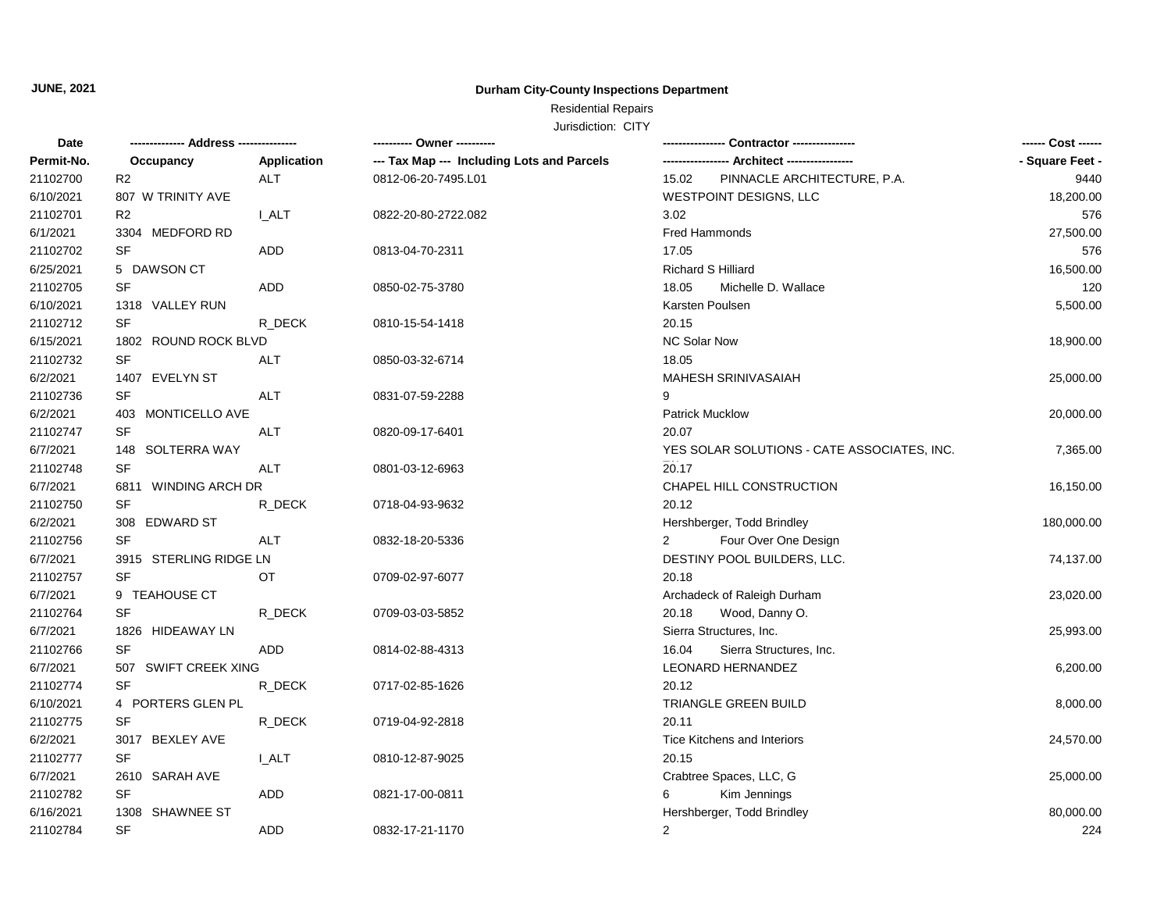#### **Durham City-County Inspections Department**

# Residential Repairs

| Date       | ------------- Address --------------- |                    | ---------- Owner ----------                | Contractor ---------------                  | ------ Cost ------ |
|------------|---------------------------------------|--------------------|--------------------------------------------|---------------------------------------------|--------------------|
| Permit-No. | Occupancy                             | <b>Application</b> | --- Tax Map --- Including Lots and Parcels |                                             | - Square Feet -    |
| 21102700   | R <sub>2</sub>                        | ALT                | 0812-06-20-7495.L01                        | 15.02<br>PINNACLE ARCHITECTURE, P.A.        | 9440               |
| 6/10/2021  | 807 W TRINITY AVE                     |                    |                                            | WESTPOINT DESIGNS, LLC                      | 18,200.00          |
| 21102701   | R <sub>2</sub>                        | <b>I_ALT</b>       | 0822-20-80-2722.082                        | 3.02                                        | 576                |
| 6/1/2021   | 3304 MEDFORD RD                       |                    |                                            | Fred Hammonds                               | 27,500.00          |
| 21102702   | <b>SF</b>                             | ADD                | 0813-04-70-2311                            | 17.05                                       | 576                |
| 6/25/2021  | 5 DAWSON CT                           |                    |                                            | <b>Richard S Hilliard</b>                   | 16,500.00          |
| 21102705   | SF                                    | <b>ADD</b>         | 0850-02-75-3780                            | 18.05<br>Michelle D. Wallace                | 120                |
| 6/10/2021  | 1318 VALLEY RUN                       |                    |                                            | Karsten Poulsen                             | 5,500.00           |
| 21102712   | SF                                    | R_DECK             | 0810-15-54-1418                            | 20.15                                       |                    |
| 6/15/2021  | 1802 ROUND ROCK BLVD                  |                    |                                            | NC Solar Now                                | 18,900.00          |
| 21102732   | SF                                    | ALT                | 0850-03-32-6714                            | 18.05                                       |                    |
| 6/2/2021   | 1407 EVELYN ST                        |                    |                                            | <b>MAHESH SRINIVASAIAH</b>                  | 25,000.00          |
| 21102736   | SF                                    | ALT                | 0831-07-59-2288                            | 9                                           |                    |
| 6/2/2021   | 403 MONTICELLO AVE                    |                    |                                            | <b>Patrick Mucklow</b>                      | 20,000.00          |
| 21102747   | <b>SF</b>                             | ALT                | 0820-09-17-6401                            | 20.07                                       |                    |
| 6/7/2021   | 148 SOLTERRA WAY                      |                    |                                            | YES SOLAR SOLUTIONS - CATE ASSOCIATES, INC. | 7,365.00           |
| 21102748   | <b>SF</b>                             | <b>ALT</b>         | 0801-03-12-6963                            | 20.17                                       |                    |
| 6/7/2021   | 6811 WINDING ARCH DR                  |                    |                                            | CHAPEL HILL CONSTRUCTION                    | 16,150.00          |
| 21102750   | SF                                    | R_DECK             | 0718-04-93-9632                            | 20.12                                       |                    |
| 6/2/2021   | 308 EDWARD ST                         |                    |                                            | Hershberger, Todd Brindley                  | 180,000.00         |
| 21102756   | <b>SF</b>                             | ALT                | 0832-18-20-5336                            | Four Over One Design                        |                    |
| 6/7/2021   | 3915 STERLING RIDGE LN                |                    |                                            | DESTINY POOL BUILDERS, LLC.                 | 74,137.00          |
| 21102757   | SF                                    | OT                 | 0709-02-97-6077                            | 20.18                                       |                    |
| 6/7/2021   | 9 TEAHOUSE CT                         |                    |                                            | Archadeck of Raleigh Durham                 | 23,020.00          |
| 21102764   | <b>SF</b>                             | R DECK             | 0709-03-03-5852                            | 20.18<br>Wood, Danny O.                     |                    |
| 6/7/2021   | 1826 HIDEAWAY LN                      |                    |                                            | Sierra Structures, Inc.                     | 25,993.00          |
| 21102766   | <b>SF</b>                             | <b>ADD</b>         | 0814-02-88-4313                            | 16.04<br>Sierra Structures, Inc.            |                    |
| 6/7/2021   | 507 SWIFT CREEK XING                  |                    |                                            | LEONARD HERNANDEZ                           | 6,200.00           |
| 21102774   | <b>SF</b>                             | R_DECK             | 0717-02-85-1626                            | 20.12                                       |                    |
| 6/10/2021  | 4 PORTERS GLEN PL                     |                    |                                            | TRIANGLE GREEN BUILD                        | 8,000.00           |
| 21102775   | SF                                    | R_DECK             | 0719-04-92-2818                            | 20.11                                       |                    |
| 6/2/2021   | 3017 BEXLEY AVE                       |                    |                                            | <b>Tice Kitchens and Interiors</b>          | 24,570.00          |
| 21102777   | <b>SF</b>                             | <b>L_ALT</b>       | 0810-12-87-9025                            | 20.15                                       |                    |
| 6/7/2021   | 2610 SARAH AVE                        |                    |                                            | Crabtree Spaces, LLC, G                     | 25,000.00          |
| 21102782   | SF                                    | <b>ADD</b>         | 0821-17-00-0811                            | Kim Jennings<br>6                           |                    |
| 6/16/2021  | 1308 SHAWNEE ST                       |                    |                                            | Hershberger, Todd Brindley                  | 80,000.00          |
| 21102784   | <b>SF</b>                             | <b>ADD</b>         | 0832-17-21-1170                            | 2                                           | 224                |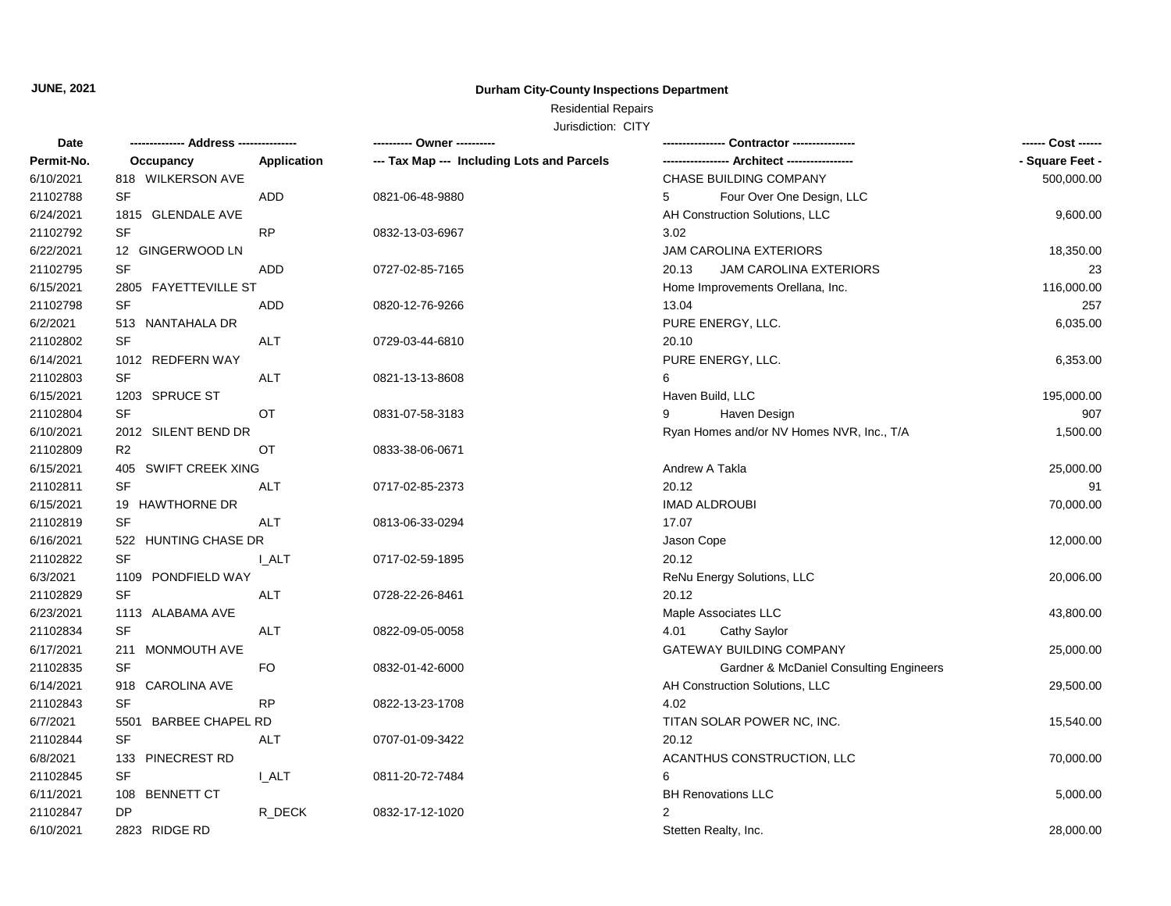#### **Durham City-County Inspections Department**

# Residential Repairs

| Permit-No.<br>- Square Feet -<br>Application<br>--- Tax Map --- Including Lots and Parcels<br>Occupancy<br>CHASE BUILDING COMPANY<br>6/10/2021<br>818 WILKERSON AVE<br>500,000.00<br>SF<br><b>ADD</b><br>21102788<br>5<br>Four Over One Design, LLC<br>0821-06-48-9880<br>6/24/2021<br>1815 GLENDALE AVE<br>AH Construction Solutions, LLC<br>9,600.00<br>21102792<br>SF<br><b>RP</b><br>3.02<br>0832-13-03-6967<br>6/22/2021<br>12 GINGERWOOD LN<br><b>JAM CAROLINA EXTERIORS</b><br>18,350.00<br>21102795<br>SF<br>ADD<br>0727-02-85-7165<br>20.13<br><b>JAM CAROLINA EXTERIORS</b><br>23<br>6/15/2021<br>2805 FAYETTEVILLE ST<br>Home Improvements Orellana, Inc.<br>116,000.00<br><b>SF</b><br>21102798<br>257<br><b>ADD</b><br>0820-12-76-9266<br>13.04<br>6/2/2021<br>PURE ENERGY, LLC.<br>6,035.00<br>513 NANTAHALA DR<br>SF<br>21102802<br>ALT<br>0729-03-44-6810<br>20.10<br>6/14/2021<br>1012 REDFERN WAY<br>PURE ENERGY, LLC.<br>6,353.00<br>SF<br>21102803<br>ALT<br>6<br>0821-13-13-8608<br>6/15/2021<br>1203 SPRUCE ST<br>Haven Build, LLC<br>195,000.00<br><b>SF</b><br>21102804<br><b>OT</b><br>Haven Design<br>907<br>0831-07-58-3183<br>9<br>6/10/2021<br>Ryan Homes and/or NV Homes NVR, Inc., T/A<br>2012 SILENT BEND DR<br>1,500.00<br>21102809<br>R <sub>2</sub><br>OT<br>0833-38-06-0671<br>6/15/2021<br>405 SWIFT CREEK XING<br>Andrew A Takla<br>25,000.00<br>20.12<br>21102811<br>SF<br>91<br>ALT<br>0717-02-85-2373<br>6/15/2021<br><b>IMAD ALDROUBI</b><br>70,000.00<br>19 HAWTHORNE DR<br>21102819<br><b>SF</b><br>17.07<br>ALT<br>0813-06-33-0294<br>6/16/2021<br>522 HUNTING CHASE DR<br>Jason Cope<br>12,000.00<br><b>SF</b><br>20.12<br>21102822<br><b>I_ALT</b><br>0717-02-59-1895<br>6/3/2021<br>1109 PONDFIELD WAY<br>ReNu Energy Solutions, LLC<br>20,006.00<br>SF<br>20.12<br>21102829<br><b>ALT</b><br>0728-22-26-8461<br>6/23/2021<br>Maple Associates LLC<br>1113 ALABAMA AVE<br>43,800.00<br><b>SF</b><br>21102834<br>Cathy Saylor<br>ALT<br>0822-09-05-0058<br>4.01<br>6/17/2021<br>211 MONMOUTH AVE<br>GATEWAY BUILDING COMPANY<br>25,000.00<br>21102835<br><b>SF</b><br>FO.<br>0832-01-42-6000<br>Gardner & McDaniel Consulting Engineers<br>6/14/2021<br>918 CAROLINA AVE<br>AH Construction Solutions, LLC<br>29,500.00<br>21102843<br><b>SF</b><br><b>RP</b><br>4.02<br>0822-13-23-1708<br>6/7/2021<br>5501 BARBEE CHAPEL RD<br>TITAN SOLAR POWER NC, INC.<br>15,540.00<br>21102844<br><b>SF</b><br>20.12<br><b>ALT</b><br>0707-01-09-3422<br>6/8/2021<br>133 PINECREST RD<br>ACANTHUS CONSTRUCTION, LLC<br>70,000.00<br>21102845<br>SF<br><b>L_ALT</b><br>0811-20-72-7484<br>6<br>6/11/2021<br>108 BENNETT CT<br><b>BH Renovations LLC</b><br>5,000.00<br>DP<br>21102847<br>R DECK<br>2<br>0832-17-12-1020 | Date      |               | ---------- Owner ---------- |                      | ------ Cost ------ |
|-------------------------------------------------------------------------------------------------------------------------------------------------------------------------------------------------------------------------------------------------------------------------------------------------------------------------------------------------------------------------------------------------------------------------------------------------------------------------------------------------------------------------------------------------------------------------------------------------------------------------------------------------------------------------------------------------------------------------------------------------------------------------------------------------------------------------------------------------------------------------------------------------------------------------------------------------------------------------------------------------------------------------------------------------------------------------------------------------------------------------------------------------------------------------------------------------------------------------------------------------------------------------------------------------------------------------------------------------------------------------------------------------------------------------------------------------------------------------------------------------------------------------------------------------------------------------------------------------------------------------------------------------------------------------------------------------------------------------------------------------------------------------------------------------------------------------------------------------------------------------------------------------------------------------------------------------------------------------------------------------------------------------------------------------------------------------------------------------------------------------------------------------------------------------------------------------------------------------------------------------------------------------------------------------------------------------------------------------------------------------------------------------------------------------------------------------------------------------------------------------------------------------------------------------------------------------------------------------------------------------------------------------------------------------------------------------------------------------------------------------------------|-----------|---------------|-----------------------------|----------------------|--------------------|
|                                                                                                                                                                                                                                                                                                                                                                                                                                                                                                                                                                                                                                                                                                                                                                                                                                                                                                                                                                                                                                                                                                                                                                                                                                                                                                                                                                                                                                                                                                                                                                                                                                                                                                                                                                                                                                                                                                                                                                                                                                                                                                                                                                                                                                                                                                                                                                                                                                                                                                                                                                                                                                                                                                                                                             |           |               |                             |                      |                    |
|                                                                                                                                                                                                                                                                                                                                                                                                                                                                                                                                                                                                                                                                                                                                                                                                                                                                                                                                                                                                                                                                                                                                                                                                                                                                                                                                                                                                                                                                                                                                                                                                                                                                                                                                                                                                                                                                                                                                                                                                                                                                                                                                                                                                                                                                                                                                                                                                                                                                                                                                                                                                                                                                                                                                                             |           |               |                             |                      |                    |
|                                                                                                                                                                                                                                                                                                                                                                                                                                                                                                                                                                                                                                                                                                                                                                                                                                                                                                                                                                                                                                                                                                                                                                                                                                                                                                                                                                                                                                                                                                                                                                                                                                                                                                                                                                                                                                                                                                                                                                                                                                                                                                                                                                                                                                                                                                                                                                                                                                                                                                                                                                                                                                                                                                                                                             |           |               |                             |                      |                    |
|                                                                                                                                                                                                                                                                                                                                                                                                                                                                                                                                                                                                                                                                                                                                                                                                                                                                                                                                                                                                                                                                                                                                                                                                                                                                                                                                                                                                                                                                                                                                                                                                                                                                                                                                                                                                                                                                                                                                                                                                                                                                                                                                                                                                                                                                                                                                                                                                                                                                                                                                                                                                                                                                                                                                                             |           |               |                             |                      |                    |
|                                                                                                                                                                                                                                                                                                                                                                                                                                                                                                                                                                                                                                                                                                                                                                                                                                                                                                                                                                                                                                                                                                                                                                                                                                                                                                                                                                                                                                                                                                                                                                                                                                                                                                                                                                                                                                                                                                                                                                                                                                                                                                                                                                                                                                                                                                                                                                                                                                                                                                                                                                                                                                                                                                                                                             |           |               |                             |                      |                    |
|                                                                                                                                                                                                                                                                                                                                                                                                                                                                                                                                                                                                                                                                                                                                                                                                                                                                                                                                                                                                                                                                                                                                                                                                                                                                                                                                                                                                                                                                                                                                                                                                                                                                                                                                                                                                                                                                                                                                                                                                                                                                                                                                                                                                                                                                                                                                                                                                                                                                                                                                                                                                                                                                                                                                                             |           |               |                             |                      |                    |
|                                                                                                                                                                                                                                                                                                                                                                                                                                                                                                                                                                                                                                                                                                                                                                                                                                                                                                                                                                                                                                                                                                                                                                                                                                                                                                                                                                                                                                                                                                                                                                                                                                                                                                                                                                                                                                                                                                                                                                                                                                                                                                                                                                                                                                                                                                                                                                                                                                                                                                                                                                                                                                                                                                                                                             |           |               |                             |                      |                    |
|                                                                                                                                                                                                                                                                                                                                                                                                                                                                                                                                                                                                                                                                                                                                                                                                                                                                                                                                                                                                                                                                                                                                                                                                                                                                                                                                                                                                                                                                                                                                                                                                                                                                                                                                                                                                                                                                                                                                                                                                                                                                                                                                                                                                                                                                                                                                                                                                                                                                                                                                                                                                                                                                                                                                                             |           |               |                             |                      |                    |
|                                                                                                                                                                                                                                                                                                                                                                                                                                                                                                                                                                                                                                                                                                                                                                                                                                                                                                                                                                                                                                                                                                                                                                                                                                                                                                                                                                                                                                                                                                                                                                                                                                                                                                                                                                                                                                                                                                                                                                                                                                                                                                                                                                                                                                                                                                                                                                                                                                                                                                                                                                                                                                                                                                                                                             |           |               |                             |                      |                    |
|                                                                                                                                                                                                                                                                                                                                                                                                                                                                                                                                                                                                                                                                                                                                                                                                                                                                                                                                                                                                                                                                                                                                                                                                                                                                                                                                                                                                                                                                                                                                                                                                                                                                                                                                                                                                                                                                                                                                                                                                                                                                                                                                                                                                                                                                                                                                                                                                                                                                                                                                                                                                                                                                                                                                                             |           |               |                             |                      |                    |
|                                                                                                                                                                                                                                                                                                                                                                                                                                                                                                                                                                                                                                                                                                                                                                                                                                                                                                                                                                                                                                                                                                                                                                                                                                                                                                                                                                                                                                                                                                                                                                                                                                                                                                                                                                                                                                                                                                                                                                                                                                                                                                                                                                                                                                                                                                                                                                                                                                                                                                                                                                                                                                                                                                                                                             |           |               |                             |                      |                    |
|                                                                                                                                                                                                                                                                                                                                                                                                                                                                                                                                                                                                                                                                                                                                                                                                                                                                                                                                                                                                                                                                                                                                                                                                                                                                                                                                                                                                                                                                                                                                                                                                                                                                                                                                                                                                                                                                                                                                                                                                                                                                                                                                                                                                                                                                                                                                                                                                                                                                                                                                                                                                                                                                                                                                                             |           |               |                             |                      |                    |
|                                                                                                                                                                                                                                                                                                                                                                                                                                                                                                                                                                                                                                                                                                                                                                                                                                                                                                                                                                                                                                                                                                                                                                                                                                                                                                                                                                                                                                                                                                                                                                                                                                                                                                                                                                                                                                                                                                                                                                                                                                                                                                                                                                                                                                                                                                                                                                                                                                                                                                                                                                                                                                                                                                                                                             |           |               |                             |                      |                    |
|                                                                                                                                                                                                                                                                                                                                                                                                                                                                                                                                                                                                                                                                                                                                                                                                                                                                                                                                                                                                                                                                                                                                                                                                                                                                                                                                                                                                                                                                                                                                                                                                                                                                                                                                                                                                                                                                                                                                                                                                                                                                                                                                                                                                                                                                                                                                                                                                                                                                                                                                                                                                                                                                                                                                                             |           |               |                             |                      |                    |
|                                                                                                                                                                                                                                                                                                                                                                                                                                                                                                                                                                                                                                                                                                                                                                                                                                                                                                                                                                                                                                                                                                                                                                                                                                                                                                                                                                                                                                                                                                                                                                                                                                                                                                                                                                                                                                                                                                                                                                                                                                                                                                                                                                                                                                                                                                                                                                                                                                                                                                                                                                                                                                                                                                                                                             |           |               |                             |                      |                    |
|                                                                                                                                                                                                                                                                                                                                                                                                                                                                                                                                                                                                                                                                                                                                                                                                                                                                                                                                                                                                                                                                                                                                                                                                                                                                                                                                                                                                                                                                                                                                                                                                                                                                                                                                                                                                                                                                                                                                                                                                                                                                                                                                                                                                                                                                                                                                                                                                                                                                                                                                                                                                                                                                                                                                                             |           |               |                             |                      |                    |
|                                                                                                                                                                                                                                                                                                                                                                                                                                                                                                                                                                                                                                                                                                                                                                                                                                                                                                                                                                                                                                                                                                                                                                                                                                                                                                                                                                                                                                                                                                                                                                                                                                                                                                                                                                                                                                                                                                                                                                                                                                                                                                                                                                                                                                                                                                                                                                                                                                                                                                                                                                                                                                                                                                                                                             |           |               |                             |                      |                    |
|                                                                                                                                                                                                                                                                                                                                                                                                                                                                                                                                                                                                                                                                                                                                                                                                                                                                                                                                                                                                                                                                                                                                                                                                                                                                                                                                                                                                                                                                                                                                                                                                                                                                                                                                                                                                                                                                                                                                                                                                                                                                                                                                                                                                                                                                                                                                                                                                                                                                                                                                                                                                                                                                                                                                                             |           |               |                             |                      |                    |
|                                                                                                                                                                                                                                                                                                                                                                                                                                                                                                                                                                                                                                                                                                                                                                                                                                                                                                                                                                                                                                                                                                                                                                                                                                                                                                                                                                                                                                                                                                                                                                                                                                                                                                                                                                                                                                                                                                                                                                                                                                                                                                                                                                                                                                                                                                                                                                                                                                                                                                                                                                                                                                                                                                                                                             |           |               |                             |                      |                    |
|                                                                                                                                                                                                                                                                                                                                                                                                                                                                                                                                                                                                                                                                                                                                                                                                                                                                                                                                                                                                                                                                                                                                                                                                                                                                                                                                                                                                                                                                                                                                                                                                                                                                                                                                                                                                                                                                                                                                                                                                                                                                                                                                                                                                                                                                                                                                                                                                                                                                                                                                                                                                                                                                                                                                                             |           |               |                             |                      |                    |
|                                                                                                                                                                                                                                                                                                                                                                                                                                                                                                                                                                                                                                                                                                                                                                                                                                                                                                                                                                                                                                                                                                                                                                                                                                                                                                                                                                                                                                                                                                                                                                                                                                                                                                                                                                                                                                                                                                                                                                                                                                                                                                                                                                                                                                                                                                                                                                                                                                                                                                                                                                                                                                                                                                                                                             |           |               |                             |                      |                    |
|                                                                                                                                                                                                                                                                                                                                                                                                                                                                                                                                                                                                                                                                                                                                                                                                                                                                                                                                                                                                                                                                                                                                                                                                                                                                                                                                                                                                                                                                                                                                                                                                                                                                                                                                                                                                                                                                                                                                                                                                                                                                                                                                                                                                                                                                                                                                                                                                                                                                                                                                                                                                                                                                                                                                                             |           |               |                             |                      |                    |
|                                                                                                                                                                                                                                                                                                                                                                                                                                                                                                                                                                                                                                                                                                                                                                                                                                                                                                                                                                                                                                                                                                                                                                                                                                                                                                                                                                                                                                                                                                                                                                                                                                                                                                                                                                                                                                                                                                                                                                                                                                                                                                                                                                                                                                                                                                                                                                                                                                                                                                                                                                                                                                                                                                                                                             |           |               |                             |                      |                    |
|                                                                                                                                                                                                                                                                                                                                                                                                                                                                                                                                                                                                                                                                                                                                                                                                                                                                                                                                                                                                                                                                                                                                                                                                                                                                                                                                                                                                                                                                                                                                                                                                                                                                                                                                                                                                                                                                                                                                                                                                                                                                                                                                                                                                                                                                                                                                                                                                                                                                                                                                                                                                                                                                                                                                                             |           |               |                             |                      |                    |
|                                                                                                                                                                                                                                                                                                                                                                                                                                                                                                                                                                                                                                                                                                                                                                                                                                                                                                                                                                                                                                                                                                                                                                                                                                                                                                                                                                                                                                                                                                                                                                                                                                                                                                                                                                                                                                                                                                                                                                                                                                                                                                                                                                                                                                                                                                                                                                                                                                                                                                                                                                                                                                                                                                                                                             |           |               |                             |                      |                    |
|                                                                                                                                                                                                                                                                                                                                                                                                                                                                                                                                                                                                                                                                                                                                                                                                                                                                                                                                                                                                                                                                                                                                                                                                                                                                                                                                                                                                                                                                                                                                                                                                                                                                                                                                                                                                                                                                                                                                                                                                                                                                                                                                                                                                                                                                                                                                                                                                                                                                                                                                                                                                                                                                                                                                                             |           |               |                             |                      |                    |
|                                                                                                                                                                                                                                                                                                                                                                                                                                                                                                                                                                                                                                                                                                                                                                                                                                                                                                                                                                                                                                                                                                                                                                                                                                                                                                                                                                                                                                                                                                                                                                                                                                                                                                                                                                                                                                                                                                                                                                                                                                                                                                                                                                                                                                                                                                                                                                                                                                                                                                                                                                                                                                                                                                                                                             |           |               |                             |                      |                    |
|                                                                                                                                                                                                                                                                                                                                                                                                                                                                                                                                                                                                                                                                                                                                                                                                                                                                                                                                                                                                                                                                                                                                                                                                                                                                                                                                                                                                                                                                                                                                                                                                                                                                                                                                                                                                                                                                                                                                                                                                                                                                                                                                                                                                                                                                                                                                                                                                                                                                                                                                                                                                                                                                                                                                                             |           |               |                             |                      |                    |
|                                                                                                                                                                                                                                                                                                                                                                                                                                                                                                                                                                                                                                                                                                                                                                                                                                                                                                                                                                                                                                                                                                                                                                                                                                                                                                                                                                                                                                                                                                                                                                                                                                                                                                                                                                                                                                                                                                                                                                                                                                                                                                                                                                                                                                                                                                                                                                                                                                                                                                                                                                                                                                                                                                                                                             |           |               |                             |                      |                    |
|                                                                                                                                                                                                                                                                                                                                                                                                                                                                                                                                                                                                                                                                                                                                                                                                                                                                                                                                                                                                                                                                                                                                                                                                                                                                                                                                                                                                                                                                                                                                                                                                                                                                                                                                                                                                                                                                                                                                                                                                                                                                                                                                                                                                                                                                                                                                                                                                                                                                                                                                                                                                                                                                                                                                                             |           |               |                             |                      |                    |
|                                                                                                                                                                                                                                                                                                                                                                                                                                                                                                                                                                                                                                                                                                                                                                                                                                                                                                                                                                                                                                                                                                                                                                                                                                                                                                                                                                                                                                                                                                                                                                                                                                                                                                                                                                                                                                                                                                                                                                                                                                                                                                                                                                                                                                                                                                                                                                                                                                                                                                                                                                                                                                                                                                                                                             |           |               |                             |                      |                    |
|                                                                                                                                                                                                                                                                                                                                                                                                                                                                                                                                                                                                                                                                                                                                                                                                                                                                                                                                                                                                                                                                                                                                                                                                                                                                                                                                                                                                                                                                                                                                                                                                                                                                                                                                                                                                                                                                                                                                                                                                                                                                                                                                                                                                                                                                                                                                                                                                                                                                                                                                                                                                                                                                                                                                                             |           |               |                             |                      |                    |
|                                                                                                                                                                                                                                                                                                                                                                                                                                                                                                                                                                                                                                                                                                                                                                                                                                                                                                                                                                                                                                                                                                                                                                                                                                                                                                                                                                                                                                                                                                                                                                                                                                                                                                                                                                                                                                                                                                                                                                                                                                                                                                                                                                                                                                                                                                                                                                                                                                                                                                                                                                                                                                                                                                                                                             |           |               |                             |                      |                    |
|                                                                                                                                                                                                                                                                                                                                                                                                                                                                                                                                                                                                                                                                                                                                                                                                                                                                                                                                                                                                                                                                                                                                                                                                                                                                                                                                                                                                                                                                                                                                                                                                                                                                                                                                                                                                                                                                                                                                                                                                                                                                                                                                                                                                                                                                                                                                                                                                                                                                                                                                                                                                                                                                                                                                                             |           |               |                             |                      |                    |
|                                                                                                                                                                                                                                                                                                                                                                                                                                                                                                                                                                                                                                                                                                                                                                                                                                                                                                                                                                                                                                                                                                                                                                                                                                                                                                                                                                                                                                                                                                                                                                                                                                                                                                                                                                                                                                                                                                                                                                                                                                                                                                                                                                                                                                                                                                                                                                                                                                                                                                                                                                                                                                                                                                                                                             |           |               |                             |                      |                    |
|                                                                                                                                                                                                                                                                                                                                                                                                                                                                                                                                                                                                                                                                                                                                                                                                                                                                                                                                                                                                                                                                                                                                                                                                                                                                                                                                                                                                                                                                                                                                                                                                                                                                                                                                                                                                                                                                                                                                                                                                                                                                                                                                                                                                                                                                                                                                                                                                                                                                                                                                                                                                                                                                                                                                                             |           |               |                             |                      |                    |
|                                                                                                                                                                                                                                                                                                                                                                                                                                                                                                                                                                                                                                                                                                                                                                                                                                                                                                                                                                                                                                                                                                                                                                                                                                                                                                                                                                                                                                                                                                                                                                                                                                                                                                                                                                                                                                                                                                                                                                                                                                                                                                                                                                                                                                                                                                                                                                                                                                                                                                                                                                                                                                                                                                                                                             |           |               |                             |                      |                    |
|                                                                                                                                                                                                                                                                                                                                                                                                                                                                                                                                                                                                                                                                                                                                                                                                                                                                                                                                                                                                                                                                                                                                                                                                                                                                                                                                                                                                                                                                                                                                                                                                                                                                                                                                                                                                                                                                                                                                                                                                                                                                                                                                                                                                                                                                                                                                                                                                                                                                                                                                                                                                                                                                                                                                                             | 6/10/2021 | 2823 RIDGE RD |                             | Stetten Realty, Inc. | 28,000.00          |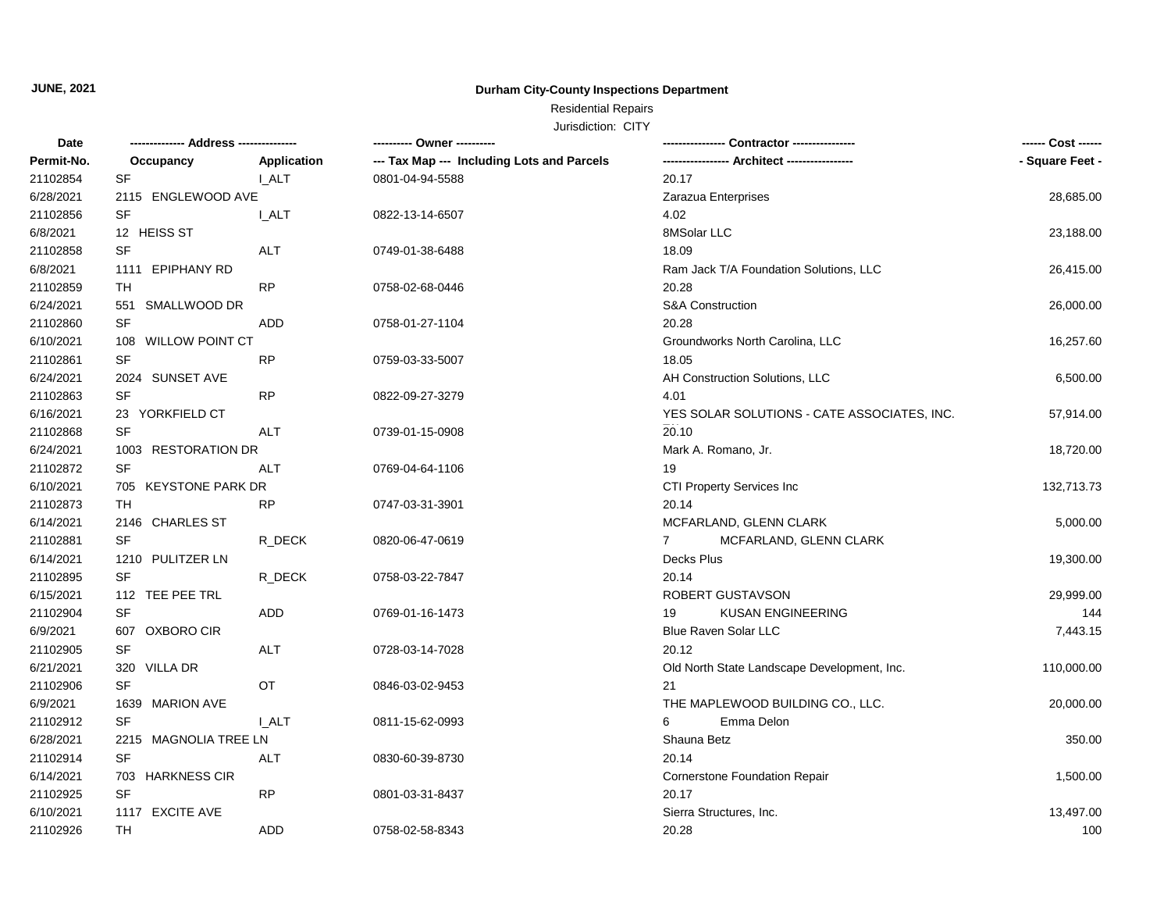#### **Durham City-County Inspections Department**

# Residential Repairs

| Date       | ------------- Address --------------- |             | ---------- Owner ----------                |                                             | ------ Cost ------ |
|------------|---------------------------------------|-------------|--------------------------------------------|---------------------------------------------|--------------------|
| Permit-No. | Occupancy                             | Application | --- Tax Map --- Including Lots and Parcels |                                             | - Square Feet -    |
| 21102854   | SF                                    | I ALT       | 0801-04-94-5588                            | 20.17                                       |                    |
| 6/28/2021  | 2115 ENGLEWOOD AVE                    |             |                                            | Zarazua Enterprises                         | 28,685.00          |
| 21102856   | SF                                    | I ALT       | 0822-13-14-6507                            | 4.02                                        |                    |
| 6/8/2021   | 12 HEISS ST                           |             |                                            | 8MSolar LLC                                 | 23,188.00          |
| 21102858   | SF                                    | <b>ALT</b>  | 0749-01-38-6488                            | 18.09                                       |                    |
| 6/8/2021   | 1111 EPIPHANY RD                      |             |                                            | Ram Jack T/A Foundation Solutions, LLC      | 26,415.00          |
| 21102859   | TH                                    | <b>RP</b>   | 0758-02-68-0446                            | 20.28                                       |                    |
| 6/24/2021  | 551 SMALLWOOD DR                      |             |                                            | <b>S&amp;A Construction</b>                 | 26,000.00          |
| 21102860   | SF                                    | ADD         | 0758-01-27-1104                            | 20.28                                       |                    |
| 6/10/2021  | 108 WILLOW POINT CT                   |             |                                            | Groundworks North Carolina, LLC             | 16,257.60          |
| 21102861   | SF                                    | <b>RP</b>   | 0759-03-33-5007                            | 18.05                                       |                    |
| 6/24/2021  | 2024 SUNSET AVE                       |             |                                            | AH Construction Solutions, LLC              | 6,500.00           |
| 21102863   | SF                                    | <b>RP</b>   | 0822-09-27-3279                            | 4.01                                        |                    |
| 6/16/2021  | 23 YORKFIELD CT                       |             |                                            | YES SOLAR SOLUTIONS - CATE ASSOCIATES, INC. | 57,914.00          |
| 21102868   | SF                                    | ALT         | 0739-01-15-0908                            | 20.10                                       |                    |
| 6/24/2021  | 1003 RESTORATION DR                   |             |                                            | Mark A. Romano, Jr.                         | 18,720.00          |
| 21102872   | SF                                    | ALT         | 0769-04-64-1106                            | 19                                          |                    |
| 6/10/2021  | 705 KEYSTONE PARK DR                  |             |                                            | CTI Property Services Inc                   | 132,713.73         |
| 21102873   | TH                                    | <b>RP</b>   | 0747-03-31-3901                            | 20.14                                       |                    |
| 6/14/2021  | 2146 CHARLES ST                       |             |                                            | MCFARLAND, GLENN CLARK                      | 5,000.00           |
| 21102881   | SF                                    | R_DECK      | 0820-06-47-0619                            | MCFARLAND, GLENN CLARK<br>$7^{\circ}$       |                    |
| 6/14/2021  | 1210 PULITZER LN                      |             |                                            | Decks Plus                                  | 19,300.00          |
| 21102895   | <b>SF</b>                             | R_DECK      | 0758-03-22-7847                            | 20.14                                       |                    |
| 6/15/2021  | 112 TEE PEE TRL                       |             |                                            | ROBERT GUSTAVSON                            | 29,999.00          |
| 21102904   | SF                                    | <b>ADD</b>  | 0769-01-16-1473                            | 19<br><b>KUSAN ENGINEERING</b>              | 144                |
| 6/9/2021   | 607 OXBORO CIR                        |             |                                            | <b>Blue Raven Solar LLC</b>                 | 7,443.15           |
| 21102905   | SF                                    | <b>ALT</b>  | 0728-03-14-7028                            | 20.12                                       |                    |
| 6/21/2021  | 320 VILLA DR                          |             |                                            | Old North State Landscape Development, Inc. | 110,000.00         |
| 21102906   | <b>SF</b>                             | OT          | 0846-03-02-9453                            | 21                                          |                    |
| 6/9/2021   | 1639 MARION AVE                       |             |                                            | THE MAPLEWOOD BUILDING CO., LLC.            | 20,000.00          |
| 21102912   | <b>SF</b>                             | I ALT       | 0811-15-62-0993                            | Emma Delon<br>6                             |                    |
| 6/28/2021  | 2215 MAGNOLIA TREE LN                 |             |                                            | Shauna Betz                                 | 350.00             |
| 21102914   | SF                                    | ALT         | 0830-60-39-8730                            | 20.14                                       |                    |
| 6/14/2021  | 703 HARKNESS CIR                      |             |                                            | Cornerstone Foundation Repair               | 1,500.00           |
| 21102925   | SF                                    | <b>RP</b>   | 0801-03-31-8437                            | 20.17                                       |                    |
| 6/10/2021  | 1117 EXCITE AVE                       |             |                                            | Sierra Structures, Inc.                     | 13,497.00          |
| 21102926   | <b>TH</b>                             | <b>ADD</b>  | 0758-02-58-8343                            | 20.28                                       | 100                |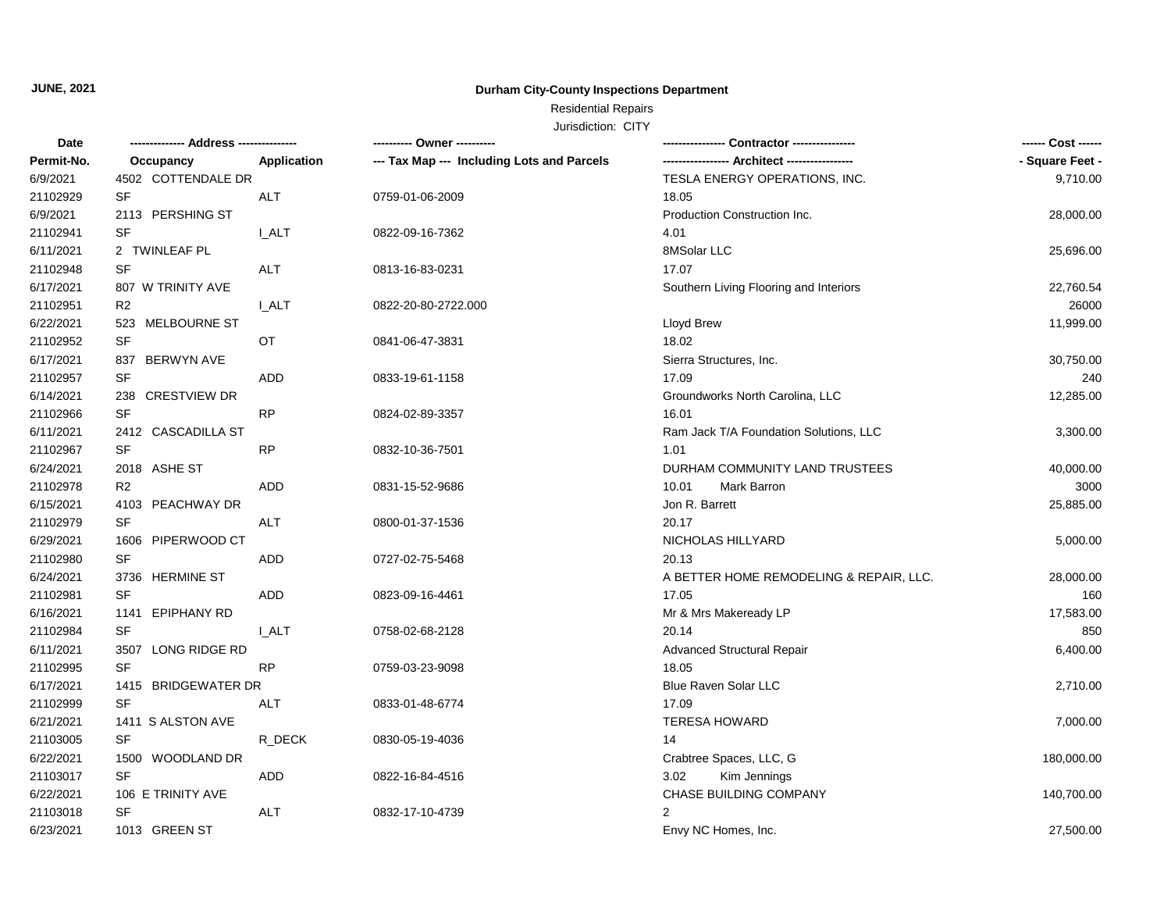#### **Durham City-County Inspections Department**

# Residential Repairs

| <b>Date</b> |                     |              | ---------- Owner ----------                |                                         | ------ Cost ------ |
|-------------|---------------------|--------------|--------------------------------------------|-----------------------------------------|--------------------|
| Permit-No.  | Occupancy           | Application  | --- Tax Map --- Including Lots and Parcels |                                         | - Square Feet -    |
| 6/9/2021    | 4502 COTTENDALE DR  |              |                                            | TESLA ENERGY OPERATIONS, INC.           | 9,710.00           |
| 21102929    | <b>SF</b>           | <b>ALT</b>   | 0759-01-06-2009                            | 18.05                                   |                    |
| 6/9/2021    | 2113 PERSHING ST    |              |                                            | Production Construction Inc.            | 28,000.00          |
| 21102941    | SF                  | <b>L_ALT</b> | 0822-09-16-7362                            | 4.01                                    |                    |
| 6/11/2021   | 2 TWINLEAF PL       |              |                                            | 8MSolar LLC                             | 25,696.00          |
| 21102948    | <b>SF</b>           | ALT          | 0813-16-83-0231                            | 17.07                                   |                    |
| 6/17/2021   | 807 W TRINITY AVE   |              |                                            | Southern Living Flooring and Interiors  | 22,760.54          |
| 21102951    | R <sub>2</sub>      | <b>L_ALT</b> | 0822-20-80-2722.000                        |                                         | 26000              |
| 6/22/2021   | 523 MELBOURNE ST    |              |                                            | Lloyd Brew                              | 11,999.00          |
| 21102952    | <b>SF</b>           | OT           | 0841-06-47-3831                            | 18.02                                   |                    |
| 6/17/2021   | 837 BERWYN AVE      |              |                                            | Sierra Structures, Inc.                 | 30,750.00          |
| 21102957    | SF                  | ADD          | 0833-19-61-1158                            | 17.09                                   | 240                |
| 6/14/2021   | 238 CRESTVIEW DR    |              |                                            | Groundworks North Carolina, LLC         | 12,285.00          |
| 21102966    | <b>SF</b>           | <b>RP</b>    | 0824-02-89-3357                            | 16.01                                   |                    |
| 6/11/2021   | 2412 CASCADILLA ST  |              |                                            | Ram Jack T/A Foundation Solutions, LLC  | 3,300.00           |
| 21102967    | SF                  | <b>RP</b>    | 0832-10-36-7501                            | 1.01                                    |                    |
| 6/24/2021   | 2018 ASHE ST        |              |                                            | DURHAM COMMUNITY LAND TRUSTEES          | 40,000.00          |
| 21102978    | R <sub>2</sub>      | ADD          | 0831-15-52-9686                            | 10.01<br>Mark Barron                    | 3000               |
| 6/15/2021   | 4103 PEACHWAY DR    |              |                                            | Jon R. Barrett                          | 25,885.00          |
| 21102979    | SF                  | <b>ALT</b>   | 0800-01-37-1536                            | 20.17                                   |                    |
| 6/29/2021   | 1606 PIPERWOOD CT   |              |                                            | NICHOLAS HILLYARD                       | 5,000.00           |
| 21102980    | <b>SF</b>           | ADD          | 0727-02-75-5468                            | 20.13                                   |                    |
| 6/24/2021   | 3736 HERMINE ST     |              |                                            | A BETTER HOME REMODELING & REPAIR, LLC. | 28,000.00          |
| 21102981    | SF                  | ADD          | 0823-09-16-4461                            | 17.05                                   | 160                |
| 6/16/2021   | 1141 EPIPHANY RD    |              |                                            | Mr & Mrs Makeready LP                   | 17,583.00          |
| 21102984    | <b>SF</b>           | I ALT        | 0758-02-68-2128                            | 20.14                                   | 850                |
| 6/11/2021   | 3507 LONG RIDGE RD  |              |                                            | <b>Advanced Structural Repair</b>       | 6,400.00           |
| 21102995    | <b>SF</b>           | <b>RP</b>    | 0759-03-23-9098                            | 18.05                                   |                    |
| 6/17/2021   | 1415 BRIDGEWATER DR |              |                                            | Blue Raven Solar LLC                    | 2,710.00           |
| 21102999    | <b>SF</b>           | <b>ALT</b>   | 0833-01-48-6774                            | 17.09                                   |                    |
| 6/21/2021   | 1411 S ALSTON AVE   |              |                                            | <b>TERESA HOWARD</b>                    | 7,000.00           |
| 21103005    | <b>SF</b>           | R_DECK       | 0830-05-19-4036                            | 14                                      |                    |
| 6/22/2021   | 1500 WOODLAND DR    |              |                                            | Crabtree Spaces, LLC, G                 | 180,000.00         |
| 21103017    | <b>SF</b>           | ADD          | 0822-16-84-4516                            | Kim Jennings<br>3.02                    |                    |
| 6/22/2021   | 106 E TRINITY AVE   |              |                                            | CHASE BUILDING COMPANY                  | 140,700.00         |
| 21103018    | <b>SF</b>           | ALT          | 0832-17-10-4739                            | 2                                       |                    |
| 6/23/2021   | 1013 GREEN ST       |              |                                            | Envy NC Homes, Inc.                     | 27,500.00          |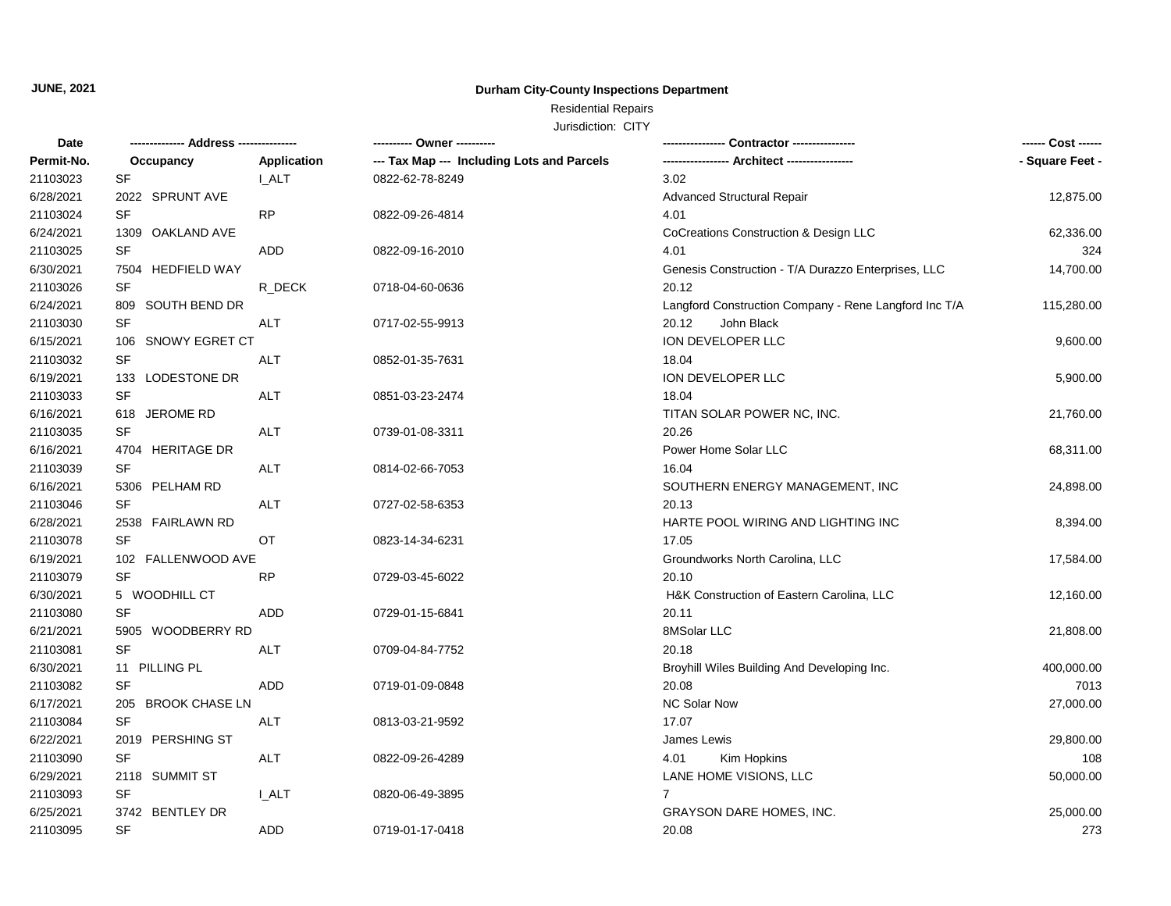#### **Durham City-County Inspections Department**

# Residential Repairs

| Date       |                    |                    |                                            | Contractor ----------------                           | ------ Cost ------ |
|------------|--------------------|--------------------|--------------------------------------------|-------------------------------------------------------|--------------------|
| Permit-No. | Occupancy          | <b>Application</b> | --- Tax Map --- Including Lots and Parcels |                                                       | - Square Feet -    |
| 21103023   | SF                 | <b>I_ALT</b>       | 0822-62-78-8249                            | 3.02                                                  |                    |
| 6/28/2021  | 2022 SPRUNT AVE    |                    |                                            | <b>Advanced Structural Repair</b>                     | 12,875.00          |
| 21103024   | SF                 | <b>RP</b>          | 0822-09-26-4814                            | 4.01                                                  |                    |
| 6/24/2021  | 1309 OAKLAND AVE   |                    |                                            | CoCreations Construction & Design LLC                 | 62,336.00          |
| 21103025   | SF                 | ADD                | 0822-09-16-2010                            | 4.01                                                  | 324                |
| 6/30/2021  | 7504 HEDFIELD WAY  |                    |                                            | Genesis Construction - T/A Durazzo Enterprises, LLC   | 14,700.00          |
| 21103026   | SF                 | R DECK             | 0718-04-60-0636                            | 20.12                                                 |                    |
| 6/24/2021  | 809 SOUTH BEND DR  |                    |                                            | Langford Construction Company - Rene Langford Inc T/A | 115,280.00         |
| 21103030   | SF                 | ALT                | 0717-02-55-9913                            | 20.12<br>John Black                                   |                    |
| 6/15/2021  | 106 SNOWY EGRET CT |                    |                                            | ION DEVELOPER LLC                                     | 9,600.00           |
| 21103032   | SF                 | ALT                | 0852-01-35-7631                            | 18.04                                                 |                    |
| 6/19/2021  | 133 LODESTONE DR   |                    |                                            | ION DEVELOPER LLC                                     | 5,900.00           |
| 21103033   | SF                 | <b>ALT</b>         | 0851-03-23-2474                            | 18.04                                                 |                    |
| 6/16/2021  | 618 JEROME RD      |                    |                                            | TITAN SOLAR POWER NC, INC.                            | 21,760.00          |
| 21103035   | SF                 | <b>ALT</b>         | 0739-01-08-3311                            | 20.26                                                 |                    |
| 6/16/2021  | 4704 HERITAGE DR   |                    |                                            | Power Home Solar LLC                                  | 68,311.00          |
| 21103039   | SF                 | ALT                | 0814-02-66-7053                            | 16.04                                                 |                    |
| 6/16/2021  | 5306 PELHAM RD     |                    |                                            | SOUTHERN ENERGY MANAGEMENT, INC                       | 24,898.00          |
| 21103046   | SF                 | ALT                | 0727-02-58-6353                            | 20.13                                                 |                    |
| 6/28/2021  | 2538 FAIRLAWN RD   |                    |                                            | HARTE POOL WIRING AND LIGHTING INC                    | 8,394.00           |
| 21103078   | SF                 | <b>OT</b>          | 0823-14-34-6231                            | 17.05                                                 |                    |
| 6/19/2021  | 102 FALLENWOOD AVE |                    |                                            | Groundworks North Carolina, LLC                       | 17,584.00          |
| 21103079   | SF                 | <b>RP</b>          | 0729-03-45-6022                            | 20.10                                                 |                    |
| 6/30/2021  | 5 WOODHILL CT      |                    |                                            | H&K Construction of Eastern Carolina, LLC             | 12,160.00          |
| 21103080   | SF                 | ADD                | 0729-01-15-6841                            | 20.11                                                 |                    |
| 6/21/2021  | 5905 WOODBERRY RD  |                    |                                            | 8MSolar LLC                                           | 21,808.00          |
| 21103081   | SF                 | ALT                | 0709-04-84-7752                            | 20.18                                                 |                    |
| 6/30/2021  | 11 PILLING PL      |                    |                                            | Broyhill Wiles Building And Developing Inc.           | 400,000.00         |
| 21103082   | SF                 | <b>ADD</b>         | 0719-01-09-0848                            | 20.08                                                 | 7013               |
| 6/17/2021  | 205 BROOK CHASE LN |                    |                                            | NC Solar Now                                          | 27,000.00          |
| 21103084   | SF                 | ALT                | 0813-03-21-9592                            | 17.07                                                 |                    |
| 6/22/2021  | 2019 PERSHING ST   |                    |                                            | James Lewis                                           | 29,800.00          |
| 21103090   | SF                 | ALT                | 0822-09-26-4289                            | 4.01<br>Kim Hopkins                                   | 108                |
| 6/29/2021  | 2118 SUMMIT ST     |                    |                                            | LANE HOME VISIONS, LLC                                | 50,000.00          |
| 21103093   | SF                 | <b>I_ALT</b>       | 0820-06-49-3895                            | $\overline{7}$                                        |                    |
| 6/25/2021  | 3742 BENTLEY DR    |                    |                                            | <b>GRAYSON DARE HOMES, INC.</b>                       | 25,000.00          |
| 21103095   | <b>SF</b>          | <b>ADD</b>         | 0719-01-17-0418                            | 20.08                                                 | 273                |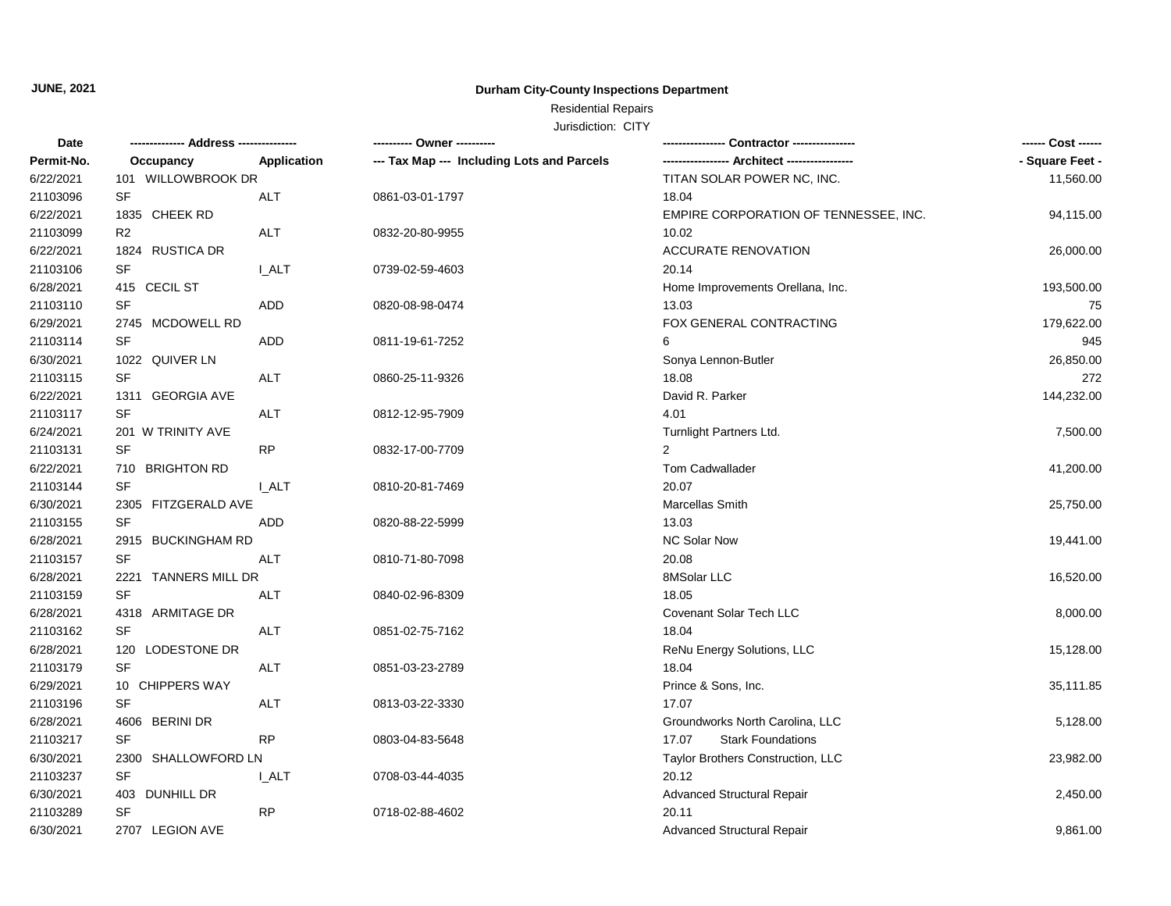#### **Durham City-County Inspections Department**

# Residential Repairs

| Date       |                      |              | ---------- Owner ----------                | Contractor ----------------           |                 |
|------------|----------------------|--------------|--------------------------------------------|---------------------------------------|-----------------|
| Permit-No. | Occupancy            | Application  | --- Tax Map --- Including Lots and Parcels |                                       | - Square Feet - |
| 6/22/2021  | 101 WILLOWBROOK DR   |              |                                            | TITAN SOLAR POWER NC, INC.            | 11,560.00       |
| 21103096   | <b>SF</b>            | <b>ALT</b>   | 0861-03-01-1797                            | 18.04                                 |                 |
| 6/22/2021  | 1835 CHEEK RD        |              |                                            | EMPIRE CORPORATION OF TENNESSEE, INC. | 94,115.00       |
| 21103099   | R <sub>2</sub>       | <b>ALT</b>   | 0832-20-80-9955                            | 10.02                                 |                 |
| 6/22/2021  | 1824 RUSTICA DR      |              |                                            | <b>ACCURATE RENOVATION</b>            | 26,000.00       |
| 21103106   | <b>SF</b>            | <b>I_ALT</b> | 0739-02-59-4603                            | 20.14                                 |                 |
| 6/28/2021  | 415 CECIL ST         |              |                                            | Home Improvements Orellana, Inc.      | 193,500.00      |
| 21103110   | SF                   | <b>ADD</b>   | 0820-08-98-0474                            | 13.03                                 | 75              |
| 6/29/2021  | 2745 MCDOWELL RD     |              |                                            | FOX GENERAL CONTRACTING               | 179,622.00      |
| 21103114   | SF                   | <b>ADD</b>   | 0811-19-61-7252                            | 6                                     | 945             |
| 6/30/2021  | 1022 QUIVER LN       |              |                                            | Sonya Lennon-Butler                   | 26,850.00       |
| 21103115   | SF                   | ALT          | 0860-25-11-9326                            | 18.08                                 | 272             |
| 6/22/2021  | 1311 GEORGIA AVE     |              |                                            | David R. Parker                       | 144,232.00      |
| 21103117   | <b>SF</b>            | <b>ALT</b>   | 0812-12-95-7909                            | 4.01                                  |                 |
| 6/24/2021  | 201 W TRINITY AVE    |              |                                            | Turnlight Partners Ltd.               | 7,500.00        |
| 21103131   | <b>SF</b>            | <b>RP</b>    | 0832-17-00-7709                            | $\overline{2}$                        |                 |
| 6/22/2021  | 710 BRIGHTON RD      |              |                                            | Tom Cadwallader                       | 41,200.00       |
| 21103144   | SF                   | <b>LALT</b>  | 0810-20-81-7469                            | 20.07                                 |                 |
| 6/30/2021  | 2305 FITZGERALD AVE  |              |                                            | Marcellas Smith                       | 25,750.00       |
| 21103155   | <b>SF</b>            | ADD          | 0820-88-22-5999                            | 13.03                                 |                 |
| 6/28/2021  | 2915 BUCKINGHAM RD   |              |                                            | NC Solar Now                          | 19,441.00       |
| 21103157   | SF                   | <b>ALT</b>   | 0810-71-80-7098                            | 20.08                                 |                 |
| 6/28/2021  | 2221 TANNERS MILL DR |              |                                            | 8MSolar LLC                           | 16,520.00       |
| 21103159   | <b>SF</b>            | ALT          | 0840-02-96-8309                            | 18.05                                 |                 |
| 6/28/2021  | 4318 ARMITAGE DR     |              |                                            | Covenant Solar Tech LLC               | 8,000.00        |
| 21103162   | SF                   | ALT          | 0851-02-75-7162                            | 18.04                                 |                 |
| 6/28/2021  | 120 LODESTONE DR     |              |                                            | ReNu Energy Solutions, LLC            | 15,128.00       |
| 21103179   | <b>SF</b>            | ALT          | 0851-03-23-2789                            | 18.04                                 |                 |
| 6/29/2021  | 10 CHIPPERS WAY      |              |                                            | Prince & Sons, Inc.                   | 35,111.85       |
| 21103196   | <b>SF</b>            | ALT          | 0813-03-22-3330                            | 17.07                                 |                 |
| 6/28/2021  | 4606 BERINI DR       |              |                                            | Groundworks North Carolina, LLC       | 5,128.00        |
| 21103217   | <b>SF</b>            | <b>RP</b>    | 0803-04-83-5648                            | 17.07<br><b>Stark Foundations</b>     |                 |
| 6/30/2021  | 2300 SHALLOWFORD LN  |              |                                            | Taylor Brothers Construction, LLC     | 23,982.00       |
| 21103237   | <b>SF</b>            | <b>LALT</b>  | 0708-03-44-4035                            | 20.12                                 |                 |
| 6/30/2021  | 403 DUNHILL DR       |              |                                            | Advanced Structural Repair            | 2,450.00        |
| 21103289   | SF                   | <b>RP</b>    | 0718-02-88-4602                            | 20.11                                 |                 |
| 6/30/2021  | 2707 LEGION AVE      |              |                                            | <b>Advanced Structural Repair</b>     | 9,861.00        |